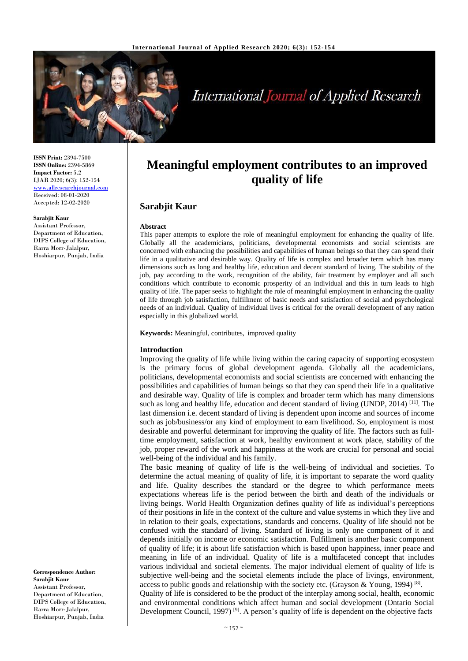

# **International Journal of Applied Research**

**ISSN Print:** 2394-7500 **ISSN Online:** 2394-5869 **Impact Factor:** 5.2 IJAR 2020; 6(3): 152-154 [www.allresearchjournal.com](http://www.allresearchjournal.com/) Received: 08-01-2020 Accepted: 12-02-2020

#### **Sarabjit Kaur**

Assistant Professor, Department of Education, DIPS College of Education, Rarra Morr-Jalalpur, Hoshiarpur, Punjab, India

**Correspondence Author: Sarabjit Kaur** Assistant Professor, Department of Education, DIPS College of Education, Rarra Morr-Jalalpur, Hoshiarpur, Punjab, India

# **Meaningful employment contributes to an improved quality of life**

# **Sarabjit Kaur**

#### **Abstract**

This paper attempts to explore the role of meaningful employment for enhancing the quality of life. Globally all the academicians, politicians, developmental economists and social scientists are concerned with enhancing the possibilities and capabilities of human beings so that they can spend their life in a qualitative and desirable way. Quality of life is complex and broader term which has many dimensions such as long and healthy life, education and decent standard of living. The stability of the job, pay according to the work, recognition of the ability, fair treatment by employer and all such conditions which contribute to economic prosperity of an individual and this in turn leads to high quality of life. The paper seeks to highlight the role of meaningful employment in enhancing the quality of life through job satisfaction, fulfillment of basic needs and satisfaction of social and psychological needs of an individual. Quality of individual lives is critical for the overall development of any nation especially in this globalized world.

**Keywords:** Meaningful, contributes, improved quality

#### **Introduction**

Improving the quality of life while living within the caring capacity of supporting ecosystem is the primary focus of global development agenda. Globally all the academicians, politicians, developmental economists and social scientists are concerned with enhancing the possibilities and capabilities of human beings so that they can spend their life in a qualitative and desirable way. Quality of life is complex and broader term which has many dimensions such as long and healthy life, education and decent standard of living (UNDP, 2014)<sup>[11]</sup>. The last dimension i.e. decent standard of living is dependent upon income and sources of income such as job/business/or any kind of employment to earn livelihood. So, employment is most desirable and powerful determinant for improving the quality of life. The factors such as fulltime employment, satisfaction at work, healthy environment at work place, stability of the job, proper reward of the work and happiness at the work are crucial for personal and social well-being of the individual and his family.

The basic meaning of quality of life is the well-being of individual and societies. To determine the actual meaning of quality of life, it is important to separate the word quality and life. Quality describes the standard or the degree to which performance meets expectations whereas life is the period between the birth and death of the individuals or living beings. World Health Organization defines quality of life as individual's perceptions of their positions in life in the context of the culture and value systems in which they live and in relation to their goals, expectations, standards and concerns. Quality of life should not be confused with the standard of living. Standard of living is only one component of it and depends initially on income or economic satisfaction. Fulfillment is another basic component of quality of life; it is about life satisfaction which is based upon happiness, inner peace and meaning in life of an individual. Quality of life is a multifaceted concept that includes various individual and societal elements. The major individual element of quality of life is subjective well-being and the societal elements include the place of livings, environment, access to public goods and relationship with the society etc. (Grayson & Young, 1994) <sup>[8]</sup>.

Quality of life is considered to be the product of the interplay among social, health, economic and environmental conditions which affect human and social development (Ontario Social Development Council, 1997)<sup>[9]</sup>. A person's quality of life is dependent on the objective facts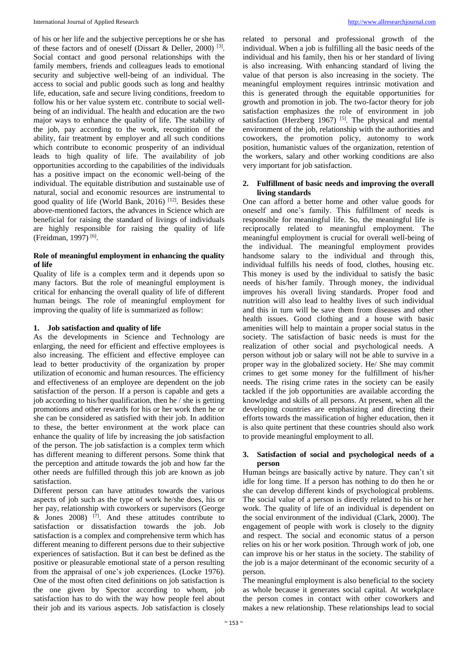of his or her life and the subjective perceptions he or she has of these factors and of oneself (Dissart & Deller, 2000)<sup>[3]</sup>. Social contact and good personal relationships with the family members, friends and colleagues leads to emotional security and subjective well-being of an individual. The access to social and public goods such as long and healthy life, education, safe and secure living conditions, freedom to follow his or her value system etc. contribute to social wellbeing of an individual. The health and education are the two major ways to enhance the quality of life. The stability of the job, pay according to the work, recognition of the ability, fair treatment by employer and all such conditions which contribute to economic prosperity of an individual leads to high quality of life. The availability of job opportunities according to the capabilities of the individuals has a positive impact on the economic well-being of the individual. The equitable distribution and sustainable use of natural, social and economic resources are instrumental to good quality of life (World Bank, 2016)<sup>[12]</sup>. Besides these above-mentioned factors, the advances in Science which are beneficial for raising the standard of livings of individuals are highly responsible for raising the quality of life (Freidman, 1997)<sup>[6]</sup>.

## **Role of meaningful employment in enhancing the quality of life**

Quality of life is a complex term and it depends upon so many factors. But the role of meaningful employment is critical for enhancing the overall quality of life of different human beings. The role of meaningful employment for improving the quality of life is summarized as follow:

## **1. Job satisfaction and quality of life**

As the developments in Science and Technology are enlarging, the need for efficient and effective employees is also increasing. The efficient and effective employee can lead to better productivity of the organization by proper utilization of economic and human resources. The efficiency and effectiveness of an employee are dependent on the job satisfaction of the person. If a person is capable and gets a job according to his/her qualification, then he / she is getting promotions and other rewards for his or her work then he or she can be considered as satisfied with their job. In addition to these, the better environment at the work place can enhance the quality of life by increasing the job satisfaction of the person. The job satisfaction is a complex term which has different meaning to different persons. Some think that the perception and attitude towards the job and how far the other needs are fulfilled through this job are known as job satisfaction.

Different person can have attitudes towards the various aspects of job such as the type of work he/she does, his or her pay, relationship with coworkers or supervisors (George & Jones  $2008$ )<sup>[7]</sup>. And these attitudes contribute to satisfaction or dissatisfaction towards the job. Job satisfaction is a complex and comprehensive term which has different meaning to different persons due to their subjective experiences of satisfaction. But it can best be defined as the positive or pleasurable emotional state of a person resulting from the appraisal of one's job experiences. (Locke 1976). One of the most often cited definitions on job satisfaction is the one given by Spector according to whom, job satisfaction has to do with the way how people feel about their job and its various aspects. Job satisfaction is closely

related to personal and professional growth of the individual. When a job is fulfilling all the basic needs of the individual and his family, then his or her standard of living is also increasing. With enhancing standard of living the value of that person is also increasing in the society. The meaningful employment requires intrinsic motivation and this is generated through the equitable opportunities for growth and promotion in job. The two-factor theory for job satisfaction emphasizes the role of environment in job satisfaction (Herzberg 1967)<sup>[5]</sup>. The physical and mental environment of the job, relationship with the authorities and coworkers, the promotion policy, autonomy to work position, humanistic values of the organization, retention of the workers, salary and other working conditions are also very important for job satisfaction.

## **2. Fulfillment of basic needs and improving the overall living standards**

One can afford a better home and other value goods for oneself and one's family. This fulfillment of needs is responsible for meaningful life. So, the meaningful life is reciprocally related to meaningful employment. The meaningful employment is crucial for overall well-being of the individual. The meaningful employment provides handsome salary to the individual and through this, individual fulfills his needs of food, clothes, housing etc. This money is used by the individual to satisfy the basic needs of his/her family. Through money, the individual improves his overall living standards. Proper food and nutrition will also lead to healthy lives of such individual and this in turn will be save them from diseases and other health issues. Good clothing and a house with basic amenities will help to maintain a proper social status in the society. The satisfaction of basic needs is must for the realization of other social and psychological needs. A person without job or salary will not be able to survive in a proper way in the globalized society. He/ She may commit crimes to get some money for the fulfillment of his/her needs. The rising crime rates in the society can be easily tackled if the job opportunities are available according the knowledge and skills of all persons. At present, when all the developing countries are emphasizing and directing their efforts towards the massification of higher education, then it is also quite pertinent that these countries should also work to provide meaningful employment to all.

#### **3. Satisfaction of social and psychological needs of a person**

Human beings are basically active by nature. They can't sit idle for long time. If a person has nothing to do then he or she can develop different kinds of psychological problems. The social value of a person is directly related to his or her work. The quality of life of an individual is dependent on the social environment of the individual (Clark, 2000). The engagement of people with work is closely to the dignity and respect. The social and economic status of a person relies on his or her work position. Through work of job, one can improve his or her status in the society. The stability of the job is a major determinant of the economic security of a person.

The meaningful employment is also beneficial to the society as whole because it generates social capital. At workplace the person comes in contact with other coworkers and makes a new relationship. These relationships lead to social